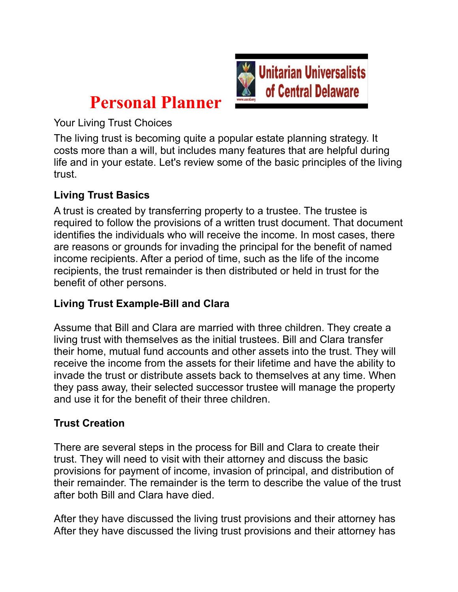

# **Personal Planner**

Your Living Trust Choices

The living trust is becoming quite a popular estate planning strategy. It costs more than a will, but includes many features that are helpful during life and in your estate. Let's review some of the basic principles of the living trust.

## **Living Trust Basics**

A trust is created by transferring property to a trustee. The trustee is required to follow the provisions of a written trust document. That document identifies the individuals who will receive the income. In most cases, there are reasons or grounds for invading the principal for the benefit of named income recipients. After a period of time, such as the life of the income recipients, the trust remainder is then distributed or held in trust for the benefit of other persons.

### **Living Trust Example-Bill and Clara**

Assume that Bill and Clara are married with three children. They create a living trust with themselves as the initial trustees. Bill and Clara transfer their home, mutual fund accounts and other assets into the trust. They will receive the income from the assets for their lifetime and have the ability to invade the trust or distribute assets back to themselves at any time. When they pass away, their selected successor trustee will manage the property and use it for the benefit of their three children.

### **Trust Creation**

There are several steps in the process for Bill and Clara to create their trust. They will need to visit with their attorney and discuss the basic provisions for payment of income, invasion of principal, and distribution of their remainder. The remainder is the term to describe the value of the trust after both Bill and Clara have died.

After they have discussed the living trust provisions and their attorney has After they have discussed the living trust provisions and their attorney has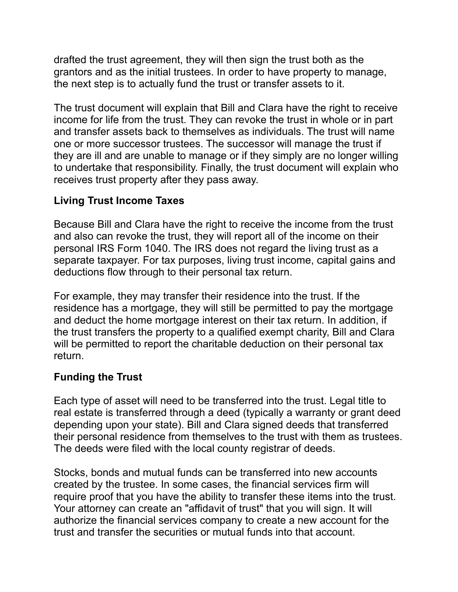drafted the trust agreement, they will then sign the trust both as the grantors and as the initial trustees. In order to have property to manage, the next step is to actually fund the trust or transfer assets to it.

The trust document will explain that Bill and Clara have the right to receive income for life from the trust. They can revoke the trust in whole or in part and transfer assets back to themselves as individuals. The trust will name one or more successor trustees. The successor will manage the trust if they are ill and are unable to manage or if they simply are no longer willing to undertake that responsibility. Finally, the trust document will explain who receives trust property after they pass away.

### **Living Trust Income Taxes**

Because Bill and Clara have the right to receive the income from the trust and also can revoke the trust, they will report all of the income on their personal IRS Form 1040. The IRS does not regard the living trust as a separate taxpayer. For tax purposes, living trust income, capital gains and deductions flow through to their personal tax return.

For example, they may transfer their residence into the trust. If the residence has a mortgage, they will still be permitted to pay the mortgage and deduct the home mortgage interest on their tax return. In addition, if the trust transfers the property to a qualified exempt charity, Bill and Clara will be permitted to report the charitable deduction on their personal tax return.

### **Funding the Trust**

Each type of asset will need to be transferred into the trust. Legal title to real estate is transferred through a deed (typically a warranty or grant deed depending upon your state). Bill and Clara signed deeds that transferred their personal residence from themselves to the trust with them as trustees. The deeds were filed with the local county registrar of deeds.

Stocks, bonds and mutual funds can be transferred into new accounts created by the trustee. In some cases, the financial services firm will require proof that you have the ability to transfer these items into the trust. Your attorney can create an "affidavit of trust" that you will sign. It will authorize the financial services company to create a new account for the trust and transfer the securities or mutual funds into that account.